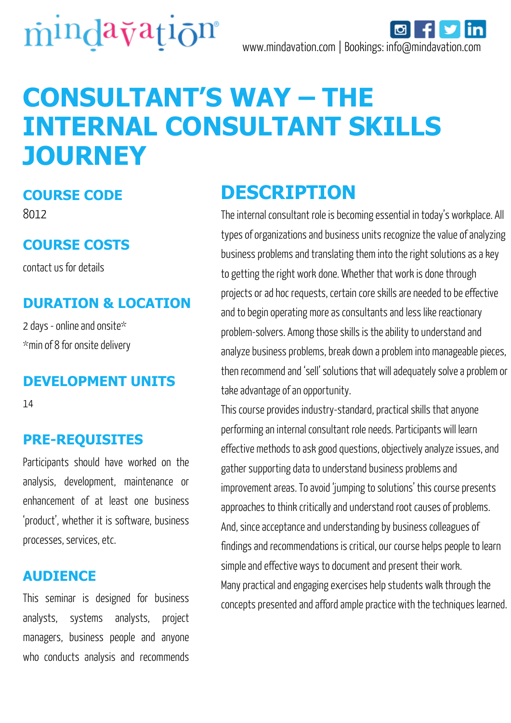

# **CONSULTANT'S WAY – THE INTERNAL CONSULTANT SKILLS JOURNEY**

#### **COURSE CODE**

8012

#### **COURSE COSTS**

contact us for details

### **DURATION & LOCATION**

2 days - online and onsite\* \*min of 8 for onsite delivery

#### **DEVELOPMENT UNITS**

14

### **PRE-REQUISITES**

Participants should have worked on the analysis, development, maintenance or enhancement of at least one business 'product', whether it is software, business processes, services, etc.

#### **AUDIENCE**

This seminar is designed for business analysts, systems analysts, project managers, business people and anyone who conducts analysis and recommends

# **DESCRIPTION**

The internal consultant role is becoming essential in today's workplace. All types of organizations and business units recognize the value of analyzing business problems and translating them into the right solutions as a key to getting the right work done. Whether that work is done through projects or ad hoc requests, certain core skills are needed to be effective and to begin operating more as consultants and less like reactionary problem-solvers. Among those skills is the ability to understand and analyze business problems, break down a problem into manageable pieces, then recommend and 'sell' solutions that will adequately solve a problem or take advantage of an opportunity.

This course provides industry-standard, practical skills that anyone performing an internal consultant role needs. Participants will learn effective methods to ask good questions, objectively analyze issues, and gather supporting data to understand business problems and improvement areas. To avoid 'jumping to solutions' this course presents approaches to think critically and understand root causes of problems. And, since acceptance and understanding by business colleagues of findings and recommendations is critical, our course helps people to learn simple and effective ways to document and present their work. Many practical and engaging exercises help students walk through the concepts presented and afford ample practice with the techniques learned.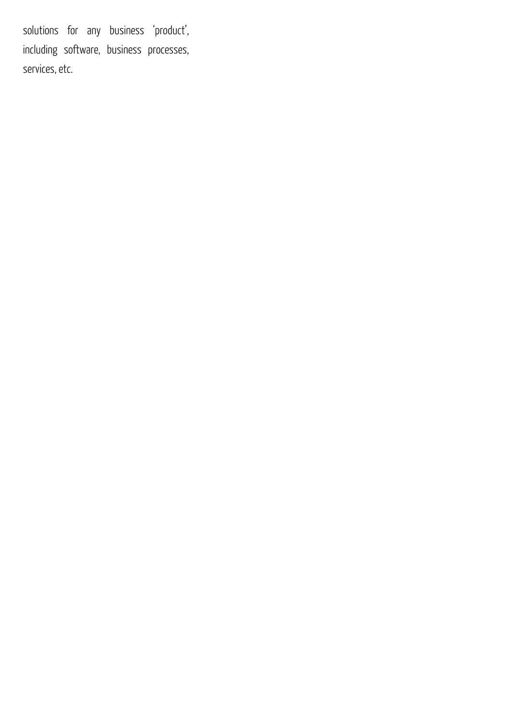solutions for any business 'product', including software, business processes, services, etc.